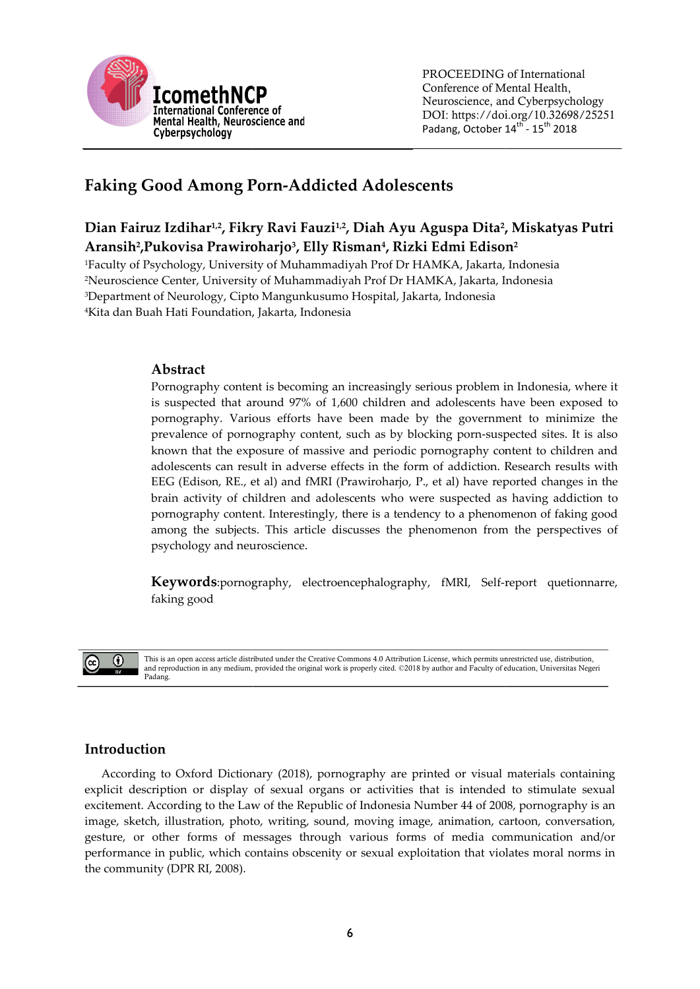

# Faking Good Among Porn Porn-Addicted Adolescents

## Dian Fairuz Izdihar<sup>1,2</sup>, Fikry Ravi Fauzi<sup>1,2</sup>, Diah Ayu Aguspa Dita<sup>2</sup>, Miskatyas Putri Aransih<sup>2</sup>, Pukovisa Prawiroharjo<sup>3</sup>, Elly Risman<sup>4</sup>, Rizki Edmi Edison<sup>2</sup>

Faculty of Psychology, University of Muhammadiyah Prof Dr HAMKA, Jakarta, Indonesia Neuroscience Center, University of Muhammadiyah Prof Dr HAMKA, Jakarta, Indonesia Neuroscience University of Department of Neurology, Cipto Mangunkusumo Hospital, Jakarta, Indonesia Kita dan Buah Hati Foundation, Jakarta, Indonesia

## Abstract

Pornography content is becoming an increasingly serious problem in Indonesia, where it is suspected that around 97% of 1,600 children and adolescents have been exposed to pornography. Various efforts have been made by the government to minimize the prevalence of pornography content, such as by blocking porn-suspected sites. It is also known that the exposure of massive and periodic pornography content to children and known that the exposure of massive and periodic pornography content to children and<br>adolescents can result in adverse effects in the form of addiction. Research results with EEG (Edison, RE., et al) and fMRI (Prawiroharjo, P., et al) have reported changes in the brain activity of children and adolescents who were suspected as having addiction to pornography content. Interestingly, there is a tendency to a phenomenon of faking good among the subjects. This article discusses the phenomenon from the perspectives of psychology and neuroscience. among the subjects. This article discusses the phenomenon from the perspectives of<br>psychology and neuroscience.<br>**Keywords**:pornography, electroencephalography, fMRI, Self-report quetionnarre, content is becoming an increasingly serious problem in Indonesia, where it<br>that around 97% of 1,600 children and adolescents have been exposed to<br>Various efforts have been made by the government to minimize the Edison, RE., et al) and fMRI (Prawiroharjo, P., et al) have reported changes in the<br>activity of children and adolescents who were suspected as having addiction to<br>graphy content. Interestingly, there is a tendency to a phe content, such as by blocking porn-suspected<br>massive and periodic pornography content t<br>verse effects in the form of addiction. Resear<br>1 fMRI (Prawiroharjo, P., et al) have reported<br>nd adolescents who were suspected as havi

faking good



This is an open access article distributed under the Creative Commons 4.0 Attribution License, which permits unrestricted use, distribution, This is an open access article distributed under the Creative Commons 4.0 Attribution License, which permits unrestricted use, distribution,<br>and reproduction in any medium, provided the original work is properly cited. ©20 Padang.

## Introduction

According to Oxford Dictionary (2018), pornography are printed or visual materials containing explicit description or display of sexual organs or activities that is intended to stimulate sexual excitement. According to the Law of the Republic of Indonesia Number 44 of 2008, pornography is an image, sketch, illustration, photo, writing, sound, moving image, animation, cartoon, conversation, gesture, or other forms of messages through various forms of media communication and/or image, sketch, illustration, photo, writing, sound, moving image, animation, cartoon, conversation, gesture, or other forms of messages through various forms of media communication and/or performance in public, which conta the community (DPR RI, 2008). rding to Oxford Dictionary (2018), pornography are printed or visual materials containing<br>description or display of sexual organs or activities that is intended to stimulate sexual<br>ent. According to the Law of the Republic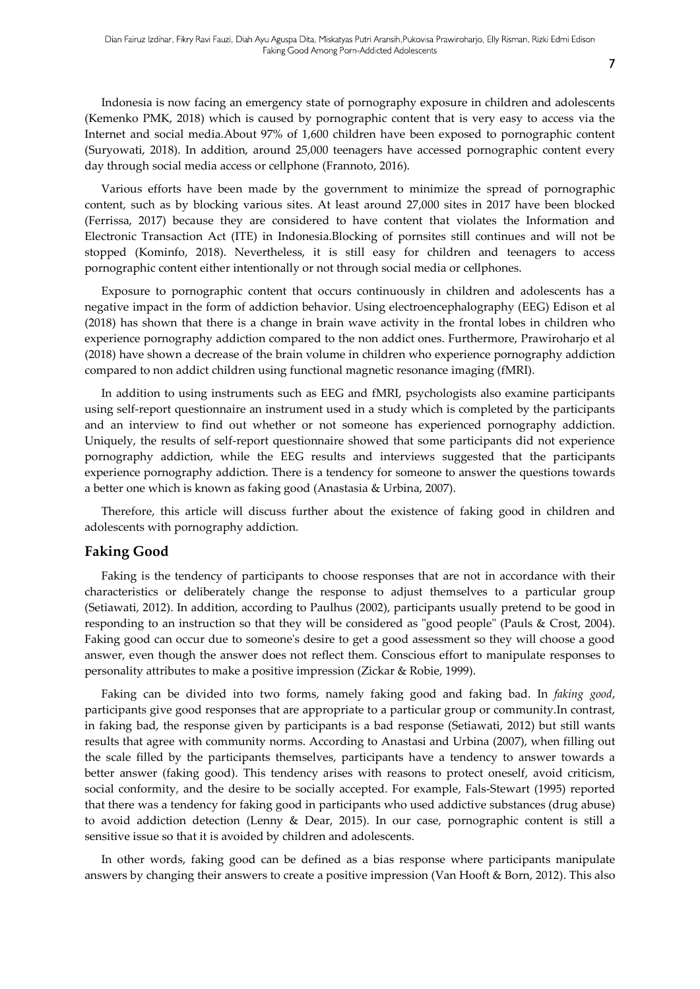Indonesia is now facing an emergency state of pornography exposure in children and adolescents (Kemenko PMK, 2018) which is caused by pornographic content that is very easy to access via the Internet and social media.About 97% of 1,600 children have been exposed to pornographic content (Suryowati, 2018). In addition, around 25,000 teenagers have accessed pornographic content every day through social media access or cellphone (Frannoto, 2016).

Various efforts have been made by the government to minimize the spread of pornographic content, such as by blocking various sites. At least around 27,000 sites in 2017 have been blocked (Ferrissa, 2017) because they are considered to have content that violates the Information and Electronic Transaction Act (ITE) in Indonesia.Blocking of pornsites still continues and will not be stopped (Kominfo, 2018). Nevertheless, it is still easy for children and teenagers to access pornographic content either intentionally or not through social media or cellphones.

Exposure to pornographic content that occurs continuously in children and adolescents has a negative impact in the form of addiction behavior. Using electroencephalography (EEG) Edison et al (2018) has shown that there is a change in brain wave activity in the frontal lobes in children who experience pornography addiction compared to the non addict ones. Furthermore, Prawiroharjo et al (2018) have shown a decrease of the brain volume in children who experience pornography addiction compared to non addict children using functional magnetic resonance imaging (fMRI).

In addition to using instruments such as EEG and fMRI, psychologists also examine participants using self-report questionnaire an instrument used in a study which is completed by the participants and an interview to find out whether or not someone has experienced pornography addiction. Uniquely, the results of self-report questionnaire showed that some participants did not experience pornography addiction, while the EEG results and interviews suggested that the participants experience pornography addiction. There is a tendency for someone to answer the questions towards a better one which is known as faking good (Anastasia & Urbina, 2007).

Therefore, this article will discuss further about the existence of faking good in children and adolescents with pornography addiction.

#### Faking Good

Faking is the tendency of participants to choose responses that are not in accordance with their characteristics or deliberately change the response to adjust themselves to a particular group (Setiawati, 2012). In addition, according to Paulhus (2002), participants usually pretend to be good in responding to an instruction so that they will be considered as "good people" (Pauls & Crost, 2004). Faking good can occur due to someone's desire to get a good assessment so they will choose a good answer, even though the answer does not reflect them. Conscious effort to manipulate responses to personality attributes to make a positive impression (Zickar & Robie, 1999).

Faking can be divided into two forms, namely faking good and faking bad. In faking good, participants give good responses that are appropriate to a particular group or community.In contrast, in faking bad, the response given by participants is a bad response (Setiawati, 2012) but still wants results that agree with community norms. According to Anastasi and Urbina (2007), when filling out the scale filled by the participants themselves, participants have a tendency to answer towards a better answer (faking good). This tendency arises with reasons to protect oneself, avoid criticism, social conformity, and the desire to be socially accepted. For example, Fals-Stewart (1995) reported that there was a tendency for faking good in participants who used addictive substances (drug abuse) to avoid addiction detection (Lenny & Dear, 2015). In our case, pornographic content is still a sensitive issue so that it is avoided by children and adolescents.

In other words, faking good can be defined as a bias response where participants manipulate answers by changing their answers to create a positive impression (Van Hooft & Born, 2012). This also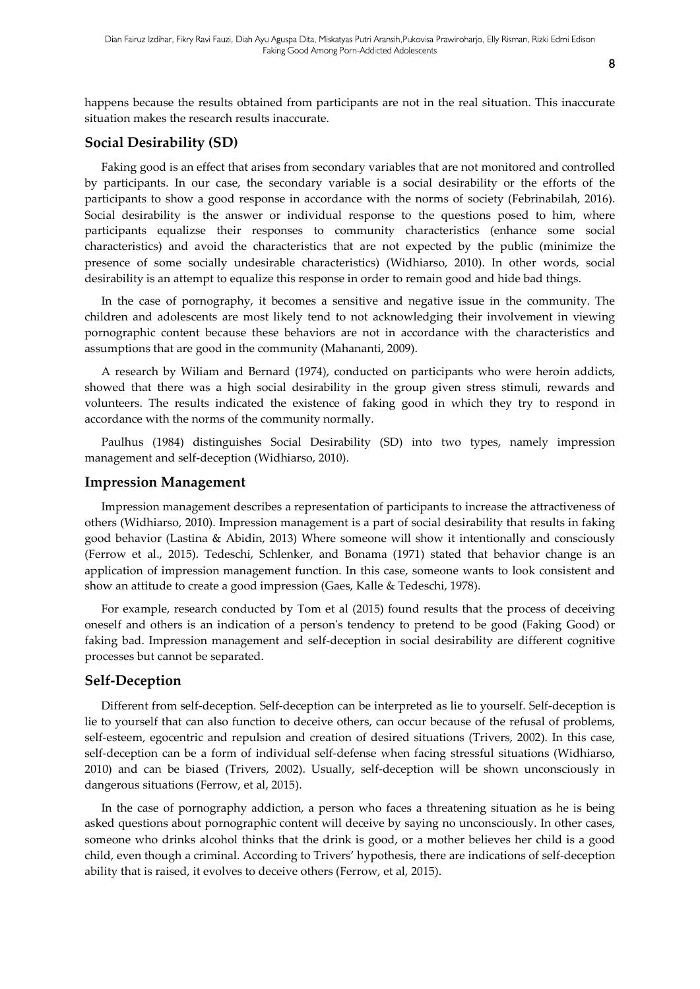happens because the results obtained from participants are not in the real situation. This inaccurate situation makes the research results inaccurate.

#### Social Desirability (SD)

Faking good is an effect that arises from secondary variables that are not monitored and controlled by participants. In our case, the secondary variable is a social desirability or the efforts of the participants to show a good response in accordance with the norms of society (Febrinabilah, 2016). Social desirability is the answer or individual response to the questions posed to him, where participants equalizse their responses to community characteristics (enhance some social characteristics) and avoid the characteristics that are not expected by the public (minimize the presence of some socially undesirable characteristics) (Widhiarso, 2010). In other words, social desirability is an attempt to equalize this response in order to remain good and hide bad things.

In the case of pornography, it becomes a sensitive and negative issue in the community. The children and adolescents are most likely tend to not acknowledging their involvement in viewing pornographic content because these behaviors are not in accordance with the characteristics and assumptions that are good in the community (Mahananti, 2009).

A research by Wiliam and Bernard (1974), conducted on participants who were heroin addicts, showed that there was a high social desirability in the group given stress stimuli, rewards and volunteers. The results indicated the existence of faking good in which they try to respond in accordance with the norms of the community normally.

Paulhus (1984) distinguishes Social Desirability (SD) into two types, namely impression management and self-deception (Widhiarso, 2010).

#### Impression Management

Impression management describes a representation of participants to increase the attractiveness of others (Widhiarso, 2010). Impression management is a part of social desirability that results in faking good behavior (Lastina & Abidin, 2013) Where someone will show it intentionally and consciously (Ferrow et al., 2015). Tedeschi, Schlenker, and Bonama (1971) stated that behavior change is an application of impression management function. In this case, someone wants to look consistent and show an attitude to create a good impression (Gaes, Kalle & Tedeschi, 1978).

For example, research conducted by Tom et al (2015) found results that the process of deceiving oneself and others is an indication of a person's tendency to pretend to be good (Faking Good) or faking bad. Impression management and self-deception in social desirability are different cognitive processes but cannot be separated.

#### Self-Deception

Different from self-deception. Self-deception can be interpreted as lie to yourself. Self-deception is lie to yourself that can also function to deceive others, can occur because of the refusal of problems, self-esteem, egocentric and repulsion and creation of desired situations (Trivers, 2002). In this case, self-deception can be a form of individual self-defense when facing stressful situations (Widhiarso, 2010) and can be biased (Trivers, 2002). Usually, self-deception will be shown unconsciously in dangerous situations (Ferrow, et al, 2015).

In the case of pornography addiction, a person who faces a threatening situation as he is being asked questions about pornographic content will deceive by saying no unconsciously. In other cases, someone who drinks alcohol thinks that the drink is good, or a mother believes her child is a good child, even though a criminal. According to Trivers' hypothesis, there are indications of self-deception ability that is raised, it evolves to deceive others (Ferrow, et al, 2015).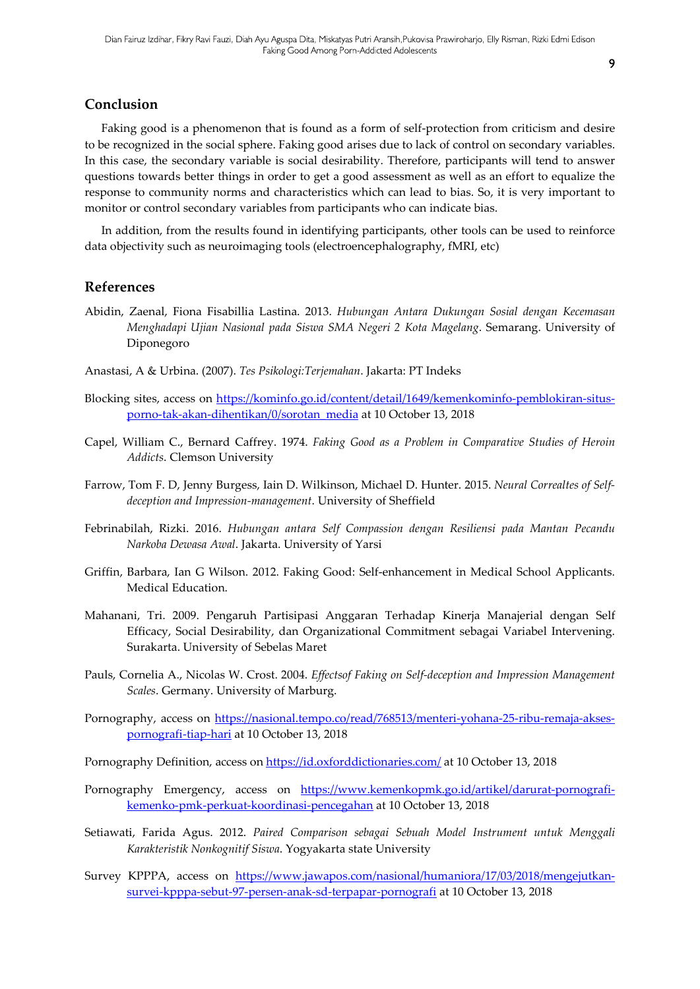### Conclusion

Faking good is a phenomenon that is found as a form of self-protection from criticism and desire to be recognized in the social sphere. Faking good arises due to lack of control on secondary variables. In this case, the secondary variable is social desirability. Therefore, participants will tend to answer questions towards better things in order to get a good assessment as well as an effort to equalize the response to community norms and characteristics which can lead to bias. So, it is very important to monitor or control secondary variables from participants who can indicate bias.

In addition, from the results found in identifying participants, other tools can be used to reinforce data objectivity such as neuroimaging tools (electroencephalography, fMRI, etc)

#### References

- Abidin, Zaenal, Fiona Fisabillia Lastina. 2013. Hubungan Antara Dukungan Sosial dengan Kecemasan Menghadapi Ujian Nasional pada Siswa SMA Negeri 2 Kota Magelang. Semarang. University of Diponegoro
- Anastasi, A & Urbina. (2007). Tes Psikologi:Terjemahan. Jakarta: PT Indeks
- Blocking sites, access on https://kominfo.go.id/content/detail/1649/kemenkominfo-pemblokiran-situsporno-tak-akan-dihentikan/0/sorotan\_media at 10 October 13, 2018
- Capel, William C., Bernard Caffrey. 1974. Faking Good as a Problem in Comparative Studies of Heroin Addicts. Clemson University
- Farrow, Tom F. D, Jenny Burgess, Iain D. Wilkinson, Michael D. Hunter. 2015. Neural Correaltes of Selfdeception and Impression-management. University of Sheffield
- Febrinabilah, Rizki. 2016. Hubungan antara Self Compassion dengan Resiliensi pada Mantan Pecandu Narkoba Dewasa Awal. Jakarta. University of Yarsi
- Griffin, Barbara, Ian G Wilson. 2012. Faking Good: Self-enhancement in Medical School Applicants. Medical Education.
- Mahanani, Tri. 2009. Pengaruh Partisipasi Anggaran Terhadap Kinerja Manajerial dengan Self Efficacy, Social Desirability, dan Organizational Commitment sebagai Variabel Intervening. Surakarta. University of Sebelas Maret
- Pauls, Cornelia A., Nicolas W. Crost. 2004. Effectsof Faking on Self-deception and Impression Management Scales. Germany. University of Marburg.
- Pornography, access on https://nasional.tempo.co/read/768513/menteri-yohana-25-ribu-remaja-aksespornografi-tiap-hari at 10 October 13, 2018

Pornography Definition, access on https://id.oxforddictionaries.com/ at 10 October 13, 2018

- Pornography Emergency, access on https://www.kemenkopmk.go.id/artikel/darurat-pornografikemenko-pmk-perkuat-koordinasi-pencegahan at 10 October 13, 2018
- Setiawati, Farida Agus. 2012. Paired Comparison sebagai Sebuah Model Instrument untuk Menggali Karakteristik Nonkognitif Siswa. Yogyakarta state University
- Survey KPPPA, access on https://www.jawapos.com/nasional/humaniora/17/03/2018/mengejutkansurvei-kpppa-sebut-97-persen-anak-sd-terpapar-pornografi at 10 October 13, 2018